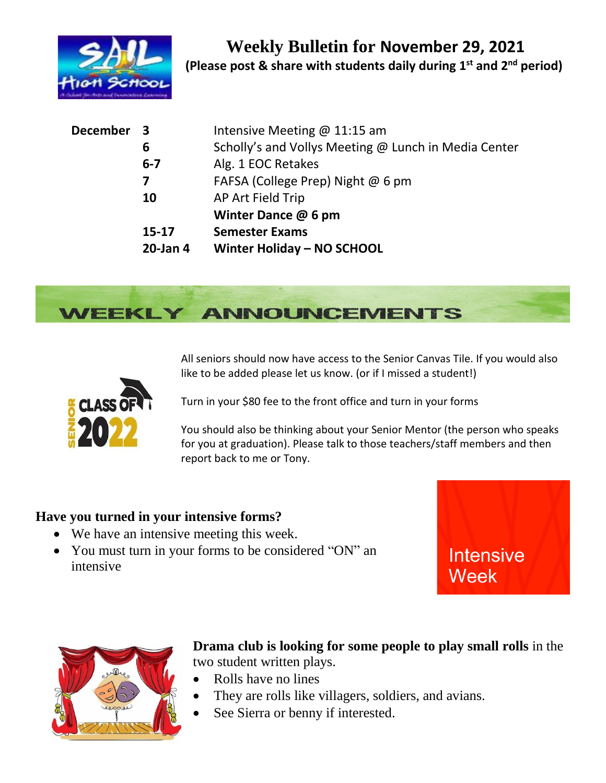

| December 3 |           | Intensive Meeting $@11:15$ am                        |
|------------|-----------|------------------------------------------------------|
|            | 6         | Scholly's and Vollys Meeting @ Lunch in Media Center |
|            | $6 - 7$   | Alg. 1 EOC Retakes                                   |
|            | 7         | FAFSA (College Prep) Night @ 6 pm                    |
| 10         |           | AP Art Field Trip                                    |
|            |           | Winter Dance @ 6 pm                                  |
|            | $15 - 17$ | <b>Semester Exams</b>                                |
|            | 20-Jan 4  | Winter Holiday - NO SCHOOL                           |



All seniors should now have access to the Senior Canvas Tile. If you would also like to be added please let us know. (or if I missed a student!)



Turn in your \$80 fee to the front office and turn in your forms

You should also be thinking about your Senior Mentor (the person who speaks for you at graduation). Please talk to those teachers/staff members and then report back to me or Tony.

## **Have you turned in your intensive forms?**

- We have an intensive meeting this week.
- You must turn in your forms to be considered "ON" an intensive





**Drama club is looking for some people to play small rolls** in the two student written plays.

- Rolls have no lines
- They are rolls like villagers, soldiers, and avians.
- See Sierra or benny if interested.